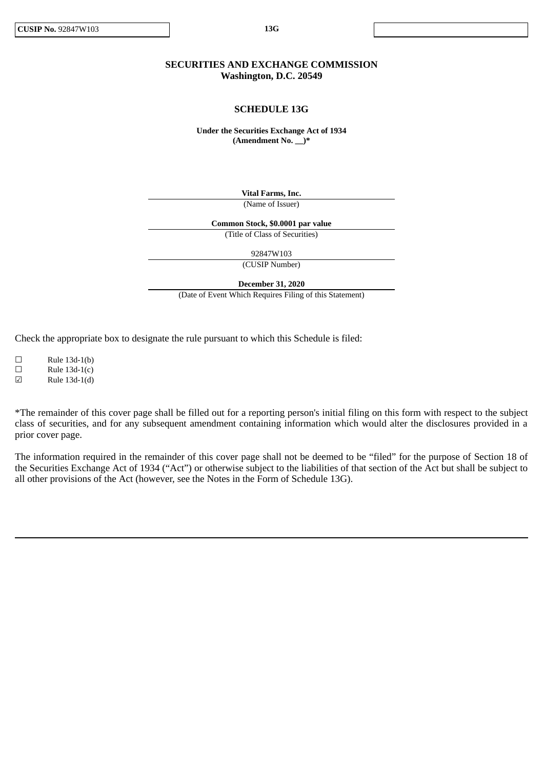# **SECURITIES AND EXCHANGE COMMISSION Washington, D.C. 20549**

## **SCHEDULE 13G**

**Under the Securities Exchange Act of 1934 (Amendment No. \_\_)\***

> **Vital Farms, Inc.** (Name of Issuer)

**Common Stock, \$0.0001 par value**

(Title of Class of Securities)

92847W103

(CUSIP Number)

**December 31, 2020**

(Date of Event Which Requires Filing of this Statement)

Check the appropriate box to designate the rule pursuant to which this Schedule is filed:

 $\square$  Rule 13d-1(b)  $\Box$  Rule 13d-1(c)

☑ Rule 13d-1(d)

\*The remainder of this cover page shall be filled out for a reporting person's initial filing on this form with respect to the subject class of securities, and for any subsequent amendment containing information which would alter the disclosures provided in a prior cover page.

The information required in the remainder of this cover page shall not be deemed to be "filed" for the purpose of Section 18 of the Securities Exchange Act of 1934 ("Act") or otherwise subject to the liabilities of that section of the Act but shall be subject to all other provisions of the Act (however, see the Notes in the Form of Schedule 13G).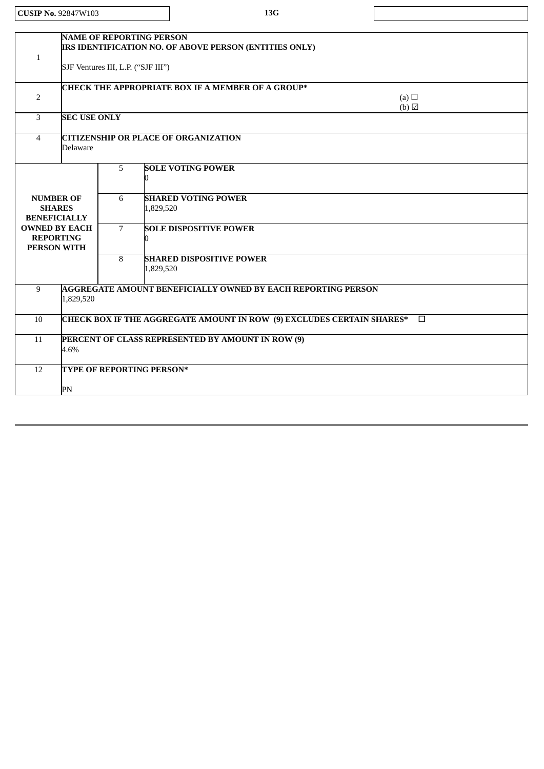**CUSIP No.** 92847W103 **13G**

 $\overline{\phantom{a}}$ 

| 1              | <b>NAME OF REPORTING PERSON</b><br>IRS IDENTIFICATION NO. OF ABOVE PERSON (ENTITIES ONLY)<br>SJF Ventures III, L.P. ("SJF III") |                |                                                              |  |  |  |
|----------------|---------------------------------------------------------------------------------------------------------------------------------|----------------|--------------------------------------------------------------|--|--|--|
|                |                                                                                                                                 |                |                                                              |  |  |  |
| 2              | <b>CHECK THE APPROPRIATE BOX IF A MEMBER OF A GROUP*</b><br>(a) $\Box$                                                          |                |                                                              |  |  |  |
| 3              | $(b)$ $\Box$<br><b>SEC USE ONLY</b>                                                                                             |                |                                                              |  |  |  |
| $\overline{4}$ | <b>CITIZENSHIP OR PLACE OF ORGANIZATION</b><br>Delaware                                                                         |                |                                                              |  |  |  |
|                |                                                                                                                                 | 5              | <b>SOLE VOTING POWER</b><br>0                                |  |  |  |
|                | <b>NUMBER OF</b><br><b>SHARES</b><br><b>BENEFICIALLY</b>                                                                        | 6              | <b>SHARED VOTING POWER</b><br>1,829,520                      |  |  |  |
|                | <b>OWNED BY EACH</b><br><b>REPORTING</b><br><b>PERSON WITH</b>                                                                  | $\overline{7}$ | <b>SOLE DISPOSITIVE POWER</b>                                |  |  |  |
|                |                                                                                                                                 | 8              | <b>SHARED DISPOSITIVE POWER</b><br>1,829,520                 |  |  |  |
| 9              | 1,829,520                                                                                                                       |                | AGGREGATE AMOUNT BENEFICIALLY OWNED BY EACH REPORTING PERSON |  |  |  |
| 10             | CHECK BOX IF THE AGGREGATE AMOUNT IN ROW (9) EXCLUDES CERTAIN SHARES*<br>$\Box$                                                 |                |                                                              |  |  |  |
| 11             | PERCENT OF CLASS REPRESENTED BY AMOUNT IN ROW (9)<br>4.6%                                                                       |                |                                                              |  |  |  |
| 12             |                                                                                                                                 |                | TYPE OF REPORTING PERSON*                                    |  |  |  |
|                | PN                                                                                                                              |                |                                                              |  |  |  |
|                |                                                                                                                                 |                |                                                              |  |  |  |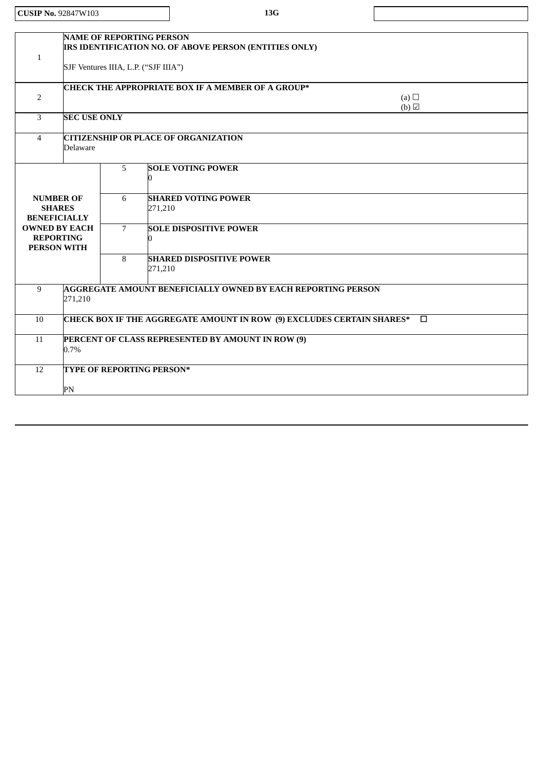| <b>CUSIP No. 92847W103</b>                                                              |                                                                                 |                           |         | 13G                                                    |                            |
|-----------------------------------------------------------------------------------------|---------------------------------------------------------------------------------|---------------------------|---------|--------------------------------------------------------|----------------------------|
|                                                                                         |                                                                                 |                           |         |                                                        |                            |
| <b>NAME OF REPORTING PERSON</b><br>$\mathbf{1}$<br>SJF Ventures IIIA, L.P. ("SJF IIIA") |                                                                                 |                           |         | IRS IDENTIFICATION NO. OF ABOVE PERSON (ENTITIES ONLY) |                            |
|                                                                                         |                                                                                 |                           |         |                                                        |                            |
|                                                                                         |                                                                                 |                           |         | CHECK THE APPROPRIATE BOX IF A MEMBER OF A GROUP*      |                            |
| 2                                                                                       |                                                                                 |                           |         |                                                        | (a) $\Box$<br>$(b)$ $\Box$ |
| 3                                                                                       | <b>SEC USE ONLY</b>                                                             |                           |         |                                                        |                            |
| $\overline{4}$                                                                          | <b>CITIZENSHIP OR PLACE OF ORGANIZATION</b><br><b>Delaware</b>                  |                           |         |                                                        |                            |
|                                                                                         |                                                                                 | 5                         | U       | <b>SOLE VOTING POWER</b>                               |                            |
|                                                                                         | <b>NUMBER OF</b><br><b>SHARES</b><br><b>BENEFICIALLY</b>                        | 6                         | 271,210 | <b>SHARED VOTING POWER</b>                             |                            |
|                                                                                         | <b>OWNED BY EACH</b><br><b>REPORTING</b><br><b>PERSON WITH</b>                  | $\overline{7}$            | 0       | <b>SOLE DISPOSITIVE POWER</b>                          |                            |
|                                                                                         |                                                                                 |                           | 271,210 | <b>SHARED DISPOSITIVE POWER</b>                        |                            |
| $\overline{9}$                                                                          | <b>AGGREGATE AMOUNT BENEFICIALLY OWNED BY EACH REPORTING PERSON</b><br>271,210  |                           |         |                                                        |                            |
| 10                                                                                      | CHECK BOX IF THE AGGREGATE AMOUNT IN ROW (9) EXCLUDES CERTAIN SHARES*<br>$\Box$ |                           |         |                                                        |                            |
| 11                                                                                      | PERCENT OF CLASS REPRESENTED BY AMOUNT IN ROW (9)<br>0.7%                       |                           |         |                                                        |                            |
| 12                                                                                      |                                                                                 | TYPE OF REPORTING PERSON* |         |                                                        |                            |
|                                                                                         | PN                                                                              |                           |         |                                                        |                            |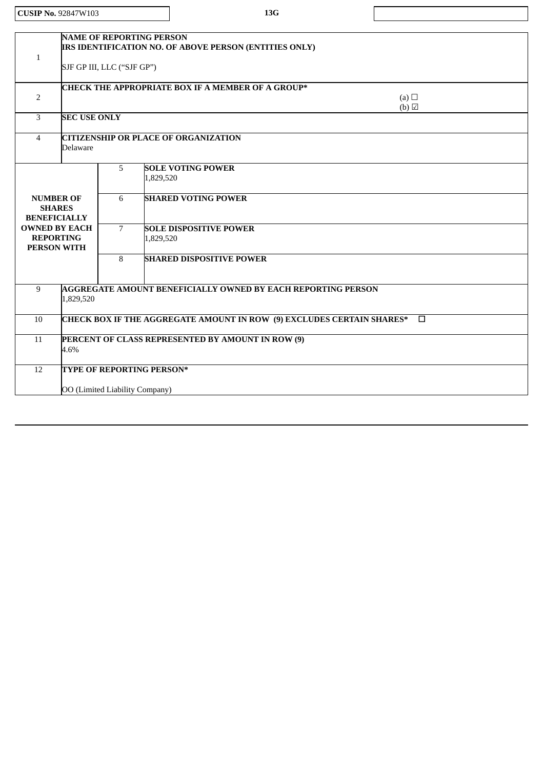| <b>CUSIP No. 92847W103</b> | 13G |
|----------------------------|-----|
|----------------------------|-----|

 $\overline{1}$ 

| $\mathbf{1}$   | <b>NAME OF REPORTING PERSON</b><br>IRS IDENTIFICATION NO. OF ABOVE PERSON (ENTITIES ONLY)<br>SJF GP III, LLC ("SJF GP") |   |                                            |  |  |
|----------------|-------------------------------------------------------------------------------------------------------------------------|---|--------------------------------------------|--|--|
| 2              | <b>CHECK THE APPROPRIATE BOX IF A MEMBER OF A GROUP*</b><br>(a) $\Box$<br>$(b)$ $\Box$                                  |   |                                            |  |  |
| 3              | <b>SEC USE ONLY</b>                                                                                                     |   |                                            |  |  |
| $\overline{4}$ | <b>CITIZENSHIP OR PLACE OF ORGANIZATION</b><br><b>Delaware</b>                                                          |   |                                            |  |  |
|                |                                                                                                                         | 5 | <b>SOLE VOTING POWER</b><br>1,829,520      |  |  |
|                | <b>NUMBER OF</b><br><b>SHARES</b><br><b>BENEFICIALLY</b>                                                                | 6 | <b>SHARED VOTING POWER</b>                 |  |  |
|                | <b>OWNED BY EACH</b><br><b>REPORTING</b><br><b>PERSON WITH</b>                                                          |   | <b>SOLE DISPOSITIVE POWER</b><br>1,829,520 |  |  |
|                |                                                                                                                         | 8 | <b>SHARED DISPOSITIVE POWER</b>            |  |  |
| 9              | <b>AGGREGATE AMOUNT BENEFICIALLY OWNED BY EACH REPORTING PERSON</b><br>1,829,520                                        |   |                                            |  |  |
| 10             | CHECK BOX IF THE AGGREGATE AMOUNT IN ROW (9) EXCLUDES CERTAIN SHARES*<br>$\Box$                                         |   |                                            |  |  |
| 11             | PERCENT OF CLASS REPRESENTED BY AMOUNT IN ROW (9)<br>4.6%                                                               |   |                                            |  |  |
| 12             | TYPE OF REPORTING PERSON*                                                                                               |   |                                            |  |  |
|                | OO (Limited Liability Company)                                                                                          |   |                                            |  |  |
|                |                                                                                                                         |   |                                            |  |  |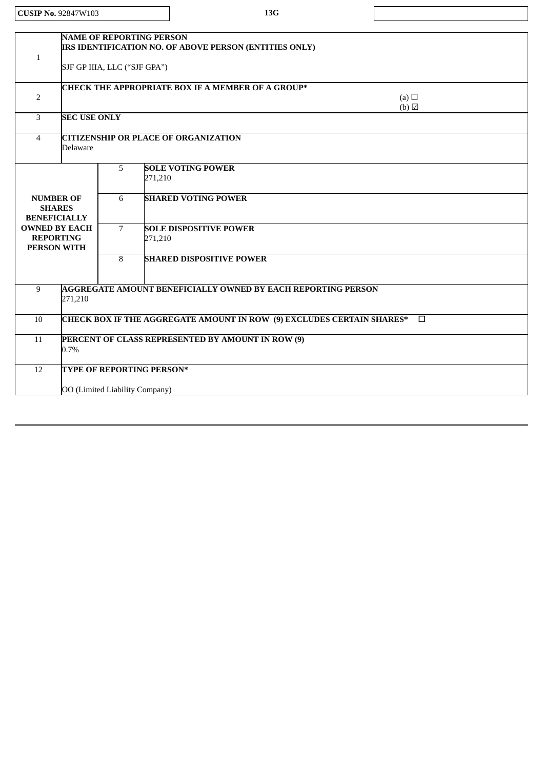| <b>CUSIP No. 92847W103</b>                                                       |                                                                                                                           |                          |         | 13G                                                                                     |  |
|----------------------------------------------------------------------------------|---------------------------------------------------------------------------------------------------------------------------|--------------------------|---------|-----------------------------------------------------------------------------------------|--|
|                                                                                  |                                                                                                                           |                          |         |                                                                                         |  |
| 1                                                                                | <b>NAME OF REPORTING PERSON</b><br>IRS IDENTIFICATION NO. OF ABOVE PERSON (ENTITIES ONLY)<br>SJF GP IIIA, LLC ("SJF GPA") |                          |         |                                                                                         |  |
| $\overline{2}$                                                                   | CHECK THE APPROPRIATE BOX IF A MEMBER OF A GROUP*<br>(a) $\Box$<br>(b)                                                    |                          |         |                                                                                         |  |
| 3                                                                                | <b>SEC USE ONLY</b>                                                                                                       |                          |         |                                                                                         |  |
| $\overline{4}$                                                                   | <b>CITIZENSHIP OR PLACE OF ORGANIZATION</b><br><b>Delaware</b>                                                            |                          |         |                                                                                         |  |
| <b>NUMBER OF</b><br><b>SHARES</b><br><b>BENEFICIALLY</b><br><b>OWNED BY EACH</b> |                                                                                                                           | 5<br>6<br>$\overline{7}$ | 271,210 | <b>SOLE VOTING POWER</b><br><b>SHARED VOTING POWER</b><br><b>SOLE DISPOSITIVE POWER</b> |  |
| <b>REPORTING</b><br><b>PERSON WITH</b>                                           |                                                                                                                           | 8                        | 271,210 | <b>SHARED DISPOSITIVE POWER</b>                                                         |  |
| $\overline{9}$                                                                   | 271,210                                                                                                                   |                          |         | <b>AGGREGATE AMOUNT BENEFICIALLY OWNED BY EACH REPORTING PERSON</b>                     |  |
| 10                                                                               | CHECK BOX IF THE AGGREGATE AMOUNT IN ROW (9) EXCLUDES CERTAIN SHARES*<br>$\Box$                                           |                          |         |                                                                                         |  |
| 11                                                                               | PERCENT OF CLASS REPRESENTED BY AMOUNT IN ROW (9)<br>0.7%                                                                 |                          |         |                                                                                         |  |
| 12                                                                               | TYPE OF REPORTING PERSON*<br>OO (Limited Liability Company)                                                               |                          |         |                                                                                         |  |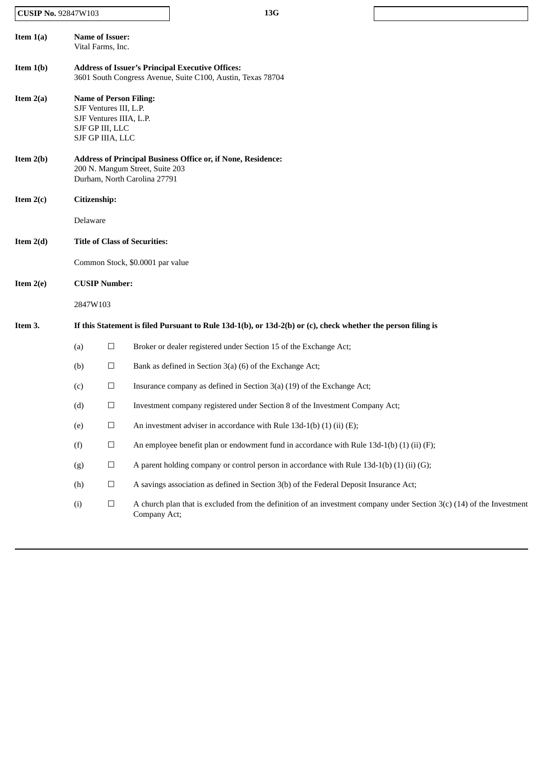# **CUSIP No.** 92847W103 **13G**

**Item 1(a) Name of Issuer:** Vital Farms, Inc. **Item 1(b) Address of Issuer's Principal Executive Offices:** 3601 South Congress Avenue, Suite C100, Austin, Texas 78704 **Item 2(a) Name of Person Filing:** SJF Ventures III, L.P. SJF Ventures IIIA, L.P. SJF GP III, LLC SJF GP IIIA, LLC **Item 2(b) Address of Principal Business Office or, if None, Residence:** 200 N. Mangum Street, Suite 203 Durham, North Carolina 27791 **Item 2(c) Citizenship:** Delaware **Item 2(d) Title of Class of Securities:** Common Stock, \$0.0001 par value **Item 2(e) CUSIP Number:** 2847W103 Item 3. If this Statement is filed Pursuant to Rule 13d-1(b), or 13d-2(b) or (c), check whether the person filing is (a)  $\Box$  Broker or dealer registered under Section 15 of the Exchange Act; (b)  $\Box$  Bank as defined in Section 3(a) (6) of the Exchange Act; (c)  $\Box$  Insurance company as defined in Section 3(a) (19) of the Exchange Act; (d)  $\Box$  Investment company registered under Section 8 of the Investment Company Act; (e)  $\Box$  An investment adviser in accordance with Rule 13d-1(b) (1) (ii) (E); (f)  $\Box$  An employee benefit plan or endowment fund in accordance with Rule 13d-1(b) (1) (ii) (F); (g)  $\Box$  A parent holding company or control person in accordance with Rule 13d-1(b) (1) (ii) (G); (h)  $\Box$  A savings association as defined in Section 3(b) of the Federal Deposit Insurance Act; (i)  $□$  A church plan that is excluded from the definition of an investment company under Section 3(c) (14) of the Investment Company Act;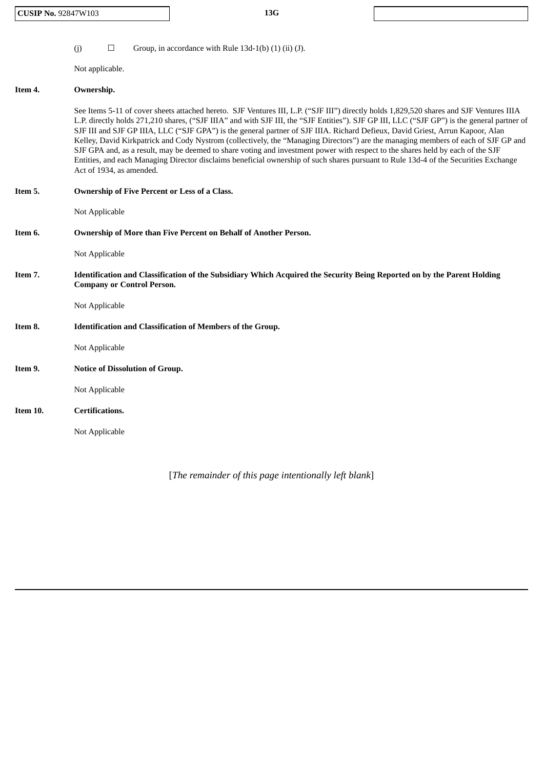| <b>CUSIP No. 92847W103</b> | 13G |
|----------------------------|-----|
|----------------------------|-----|

(j)  $\Box$  Group, in accordance with Rule 13d-1(b) (1) (ii) (J).

Not applicable.

#### **Item 4. Ownership.**

See Items 5-11 of cover sheets attached hereto. SJF Ventures III, L.P. ("SJF III") directly holds 1,829,520 shares and SJF Ventures IIIA L.P. directly holds 271,210 shares, ("SJF IIIA" and with SJF III, the "SJF Entities"). SJF GP III, LLC ("SJF GP") is the general partner of SJF III and SJF GP IIIA, LLC ("SJF GPA") is the general partner of SJF IIIA. Richard Defieux, David Griest, Arrun Kapoor, Alan Kelley, David Kirkpatrick and Cody Nystrom (collectively, the "Managing Directors") are the managing members of each of SJF GP and SJF GPA and, as a result, may be deemed to share voting and investment power with respect to the shares held by each of the SJF Entities, and each Managing Director disclaims beneficial ownership of such shares pursuant to Rule 13d-4 of the Securities Exchange Act of 1934, as amended.

| Item 5.  | Ownership of Five Percent or Less of a Class.                                                                                                                |
|----------|--------------------------------------------------------------------------------------------------------------------------------------------------------------|
|          | Not Applicable                                                                                                                                               |
| Item 6.  | Ownership of More than Five Percent on Behalf of Another Person.                                                                                             |
|          | Not Applicable                                                                                                                                               |
| Item 7.  | Identification and Classification of the Subsidiary Which Acquired the Security Being Reported on by the Parent Holding<br><b>Company or Control Person.</b> |
|          | Not Applicable                                                                                                                                               |
| Item 8.  | Identification and Classification of Members of the Group.                                                                                                   |
|          | Not Applicable                                                                                                                                               |
| Item 9.  | <b>Notice of Dissolution of Group.</b>                                                                                                                       |
|          | Not Applicable                                                                                                                                               |
| Item 10. | <b>Certifications.</b>                                                                                                                                       |
|          | Not Applicable                                                                                                                                               |
|          |                                                                                                                                                              |

[*The remainder of this page intentionally left blank*]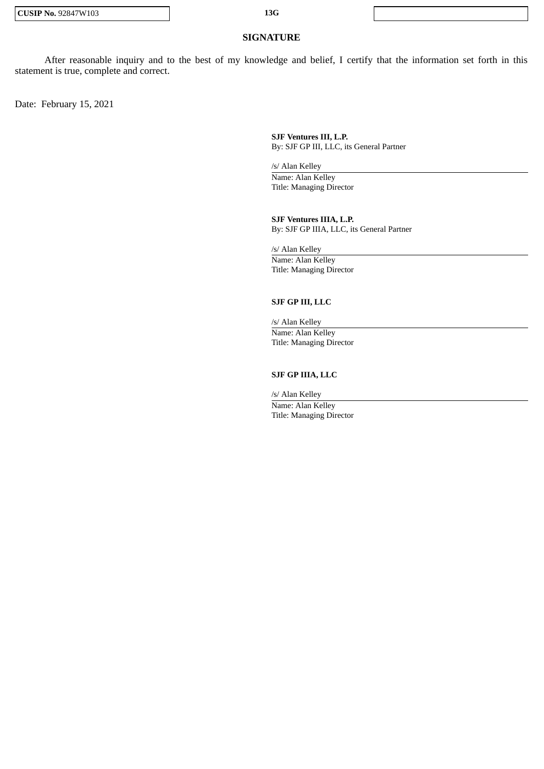## **SIGNATURE**

After reasonable inquiry and to the best of my knowledge and belief, I certify that the information set forth in this statement is true, complete and correct.

Date: February 15, 2021

**SJF Ventures III, L.P.** By: SJF GP III, LLC, its General Partner

/s/ Alan Kelley

Name: Alan Kelley Title: Managing Director

**SJF Ventures IIIA, L.P.** By: SJF GP IIIA, LLC, its General Partner

/s/ Alan Kelley Name: Alan Kelley Title: Managing Director

#### **SJF GP III, LLC**

/s/ Alan Kelley Name: Alan Kelley Title: Managing Director

## **SJF GP IIIA, LLC**

/s/ Alan Kelley Name: Alan Kelley Title: Managing Director